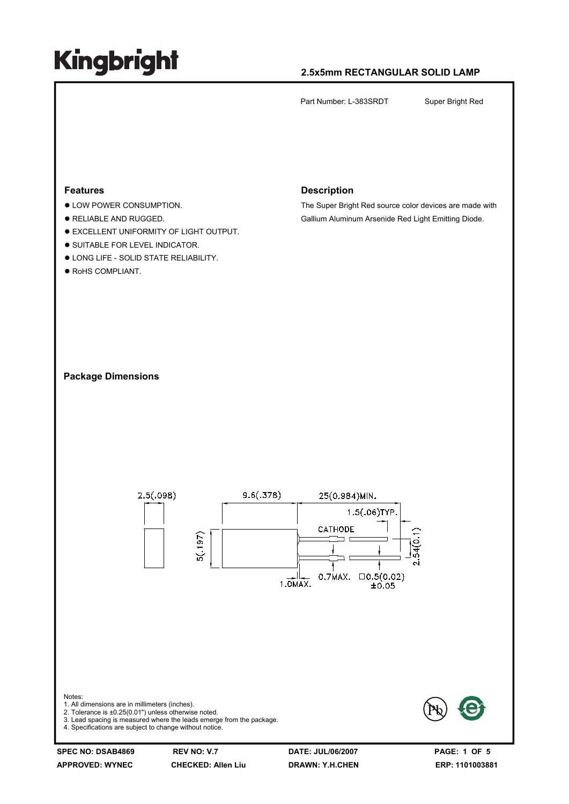### **2.5x5mm RECTANGULAR SOLID LAMP**

Part Number: L-383SRDT Super Bright Red



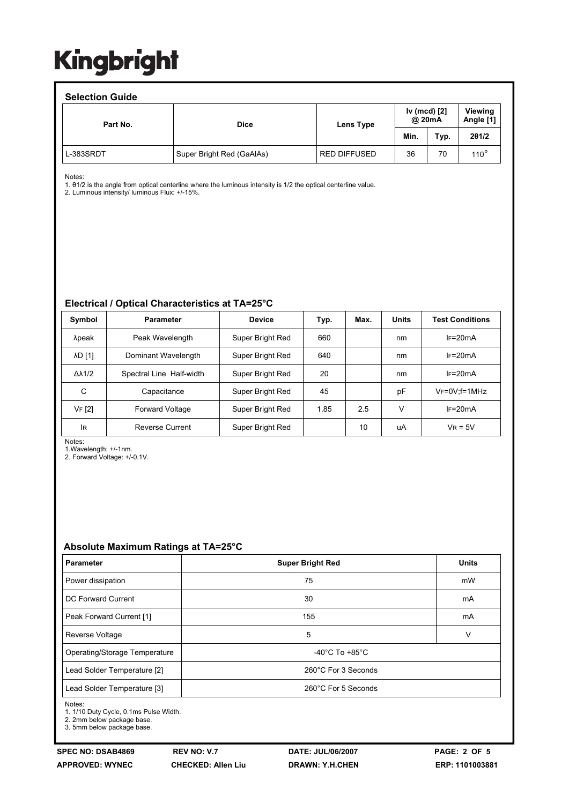#### **Selection Guide**

| <b>OCICLIUII QUIUC</b> |                           |                                     |      |      |                      |  |  |  |  |
|------------------------|---------------------------|-------------------------------------|------|------|----------------------|--|--|--|--|
| Part No.               | <b>Dice</b>               | Iv (mcd) [2]<br>@ 20mA<br>Lens Type |      |      | Viewing<br>Angle [1] |  |  |  |  |
|                        |                           |                                     | Min. | Typ. | 201/2                |  |  |  |  |
| L-383SRDT              | Super Bright Red (GaAlAs) | <b>RED DIFFUSED</b>                 | 36   | 70   | $110^{\circ}$        |  |  |  |  |

Notes:

1. θ1/2 is the angle from optical centerline where the luminous intensity is 1/2 the optical centerline value.

2. Luminous intensity/ luminous Flux: +/-15%.

#### **Electrical / Optical Characteristics at TA=25°C**

| Symbol              | <b>Parameter</b>         | <b>Device</b>    | Typ. | Max. | <b>Units</b> | <b>Test Conditions</b> |
|---------------------|--------------------------|------------------|------|------|--------------|------------------------|
| λpeak               | Peak Wavelength          | Super Bright Red | 660  |      | nm           | $IF=20mA$              |
| <b>AD [1]</b>       | Dominant Wavelength      | Super Bright Red | 640  |      | nm           | $IF=20mA$              |
| $\Delta\lambda$ 1/2 | Spectral Line Half-width | Super Bright Red | 20   |      | nm           | $IF=20mA$              |
| C                   | Capacitance              | Super Bright Red | 45   |      | рF           | $V_F = 0V$ ; f=1MHz    |
| VF [2]              | <b>Forward Voltage</b>   | Super Bright Red | 1.85 | 2.5  | $\vee$       | $IF=20mA$              |
| <b>IR</b>           | <b>Reverse Current</b>   | Super Bright Red |      | 10   | uA           | $V_R = 5V$             |

Notes:

1.Wavelength: +/-1nm.

2. Forward Voltage: +/-0.1V.

#### **Absolute Maximum Ratings at TA=25°C**

| <b>Parameter</b>              | <b>Super Bright Red</b>            | <b>Units</b> |  |  |
|-------------------------------|------------------------------------|--------------|--|--|
| Power dissipation             | 75                                 | mW           |  |  |
| DC Forward Current            | 30                                 | mA           |  |  |
| Peak Forward Current [1]      | 155                                | mA           |  |  |
| Reverse Voltage               | 5                                  | v            |  |  |
| Operating/Storage Temperature | $-40^{\circ}$ C To $+85^{\circ}$ C |              |  |  |
| Lead Solder Temperature [2]   | 260°C For 3 Seconds                |              |  |  |
| Lead Solder Temperature [3]   | 260°C For 5 Seconds                |              |  |  |

Notes:

1. 1/10 Duty Cycle, 0.1ms Pulse Width.

2. 2mm below package base.

3. 5mm below package base.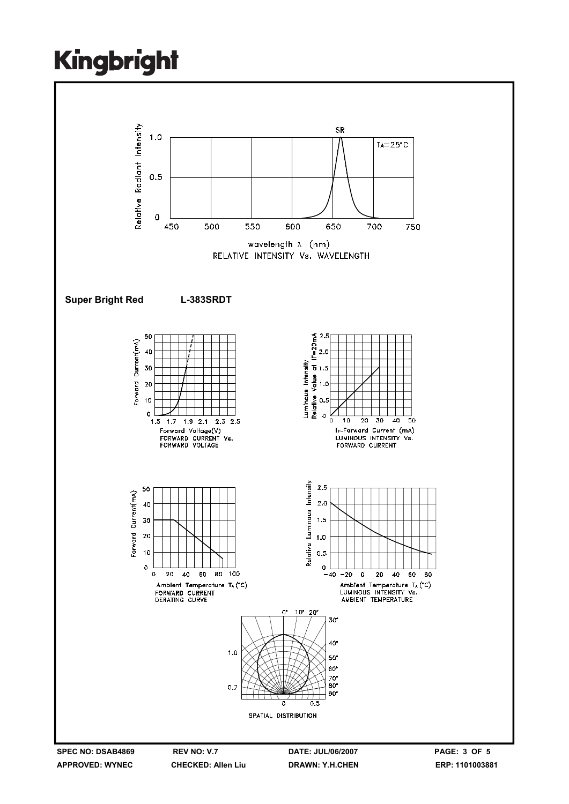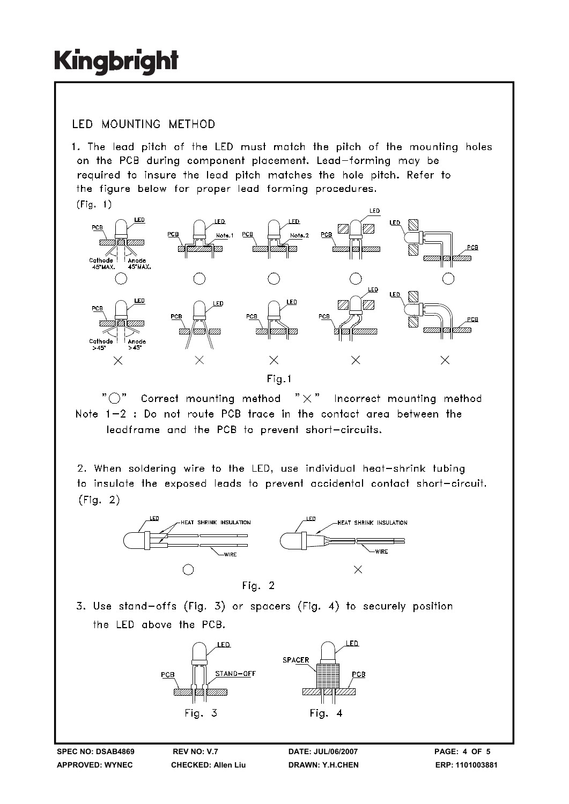### **IFD MOUNTING METHOD**

1. The lead pitch of the LED must match the pitch of the mounting holes on the PCB during component placement. Lead-forming may be required to insure the lead pitch matches the hole pitch. Refer to the figure below for proper lead forming procedures.  $(Fiq. 1)$ 



" ( )" Correct mounting method  $" \times"$  Incorrect mounting method Note 1-2 : Do not route PCB trace in the contact area between the leadframe and the PCB to prevent short-circuits.

2. When soldering wire to the LED, use individual heat-shrink tubing to insulate the exposed leads to prevent accidental contact short-circuit.  $(Fiq. 2)$ 



3. Use stand-offs (Fig. 3) or spacers (Fig. 4) to securely position the LED above the PCB.